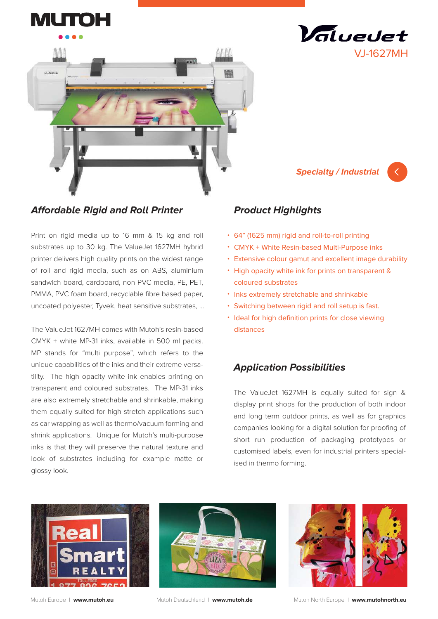



# **Affordable Rigid and Roll Printer**

Print on rigid media up to 16 mm & 15 kg and roll substrates up to 30 kg. The ValueJet 1627MH hybrid printer delivers high quality prints on the widest range of roll and rigid media, such as on ABS, aluminium sandwich board, cardboard, non PVC media, PE, PET, PMMA, PVC foam board, recyclable fibre based paper, uncoated polyester, Tyvek, heat sensitive substrates, …

The ValueJet 1627MH comes with Mutoh's resin-based CMYK + white MP-31 inks, available in 500 ml packs. MP stands for "multi purpose", which refers to the unique capabilities of the inks and their extreme versatility. The high opacity white ink enables printing on transparent and coloured substrates. The MP-31 inks are also extremely stretchable and shrinkable, making them equally suited for high stretch applications such as car wrapping as well as thermo/vacuum forming and shrink applications. Unique for Mutoh's multi-purpose inks is that they will preserve the natural texture and look of substrates including for example matte or glossy look.

# **Product Highlights**

- 64" (1625 mm) rigid and roll-to-roll printing •
- CMYK + White Resin-based Multi-Purpose inks
- Extensive colour gamut and excellent image durability •

**Specialty / Industrial**

VJ-1627MH

Valuedet

- High opacity white ink for prints on transparent & coloured substrates
- Inks extremely stretchable and shrinkable
- Switching between rigid and roll setup is fast.
- Ideal for high definition prints for close viewing distances

# **Application Possibilities**

The ValueJet 1627MH is equally suited for sign & display print shops for the production of both indoor and long term outdoor prints, as well as for graphics companies looking for a digital solution for proofing of short run production of packaging prototypes or customised labels, even for industrial printers specialised in thermo forming.